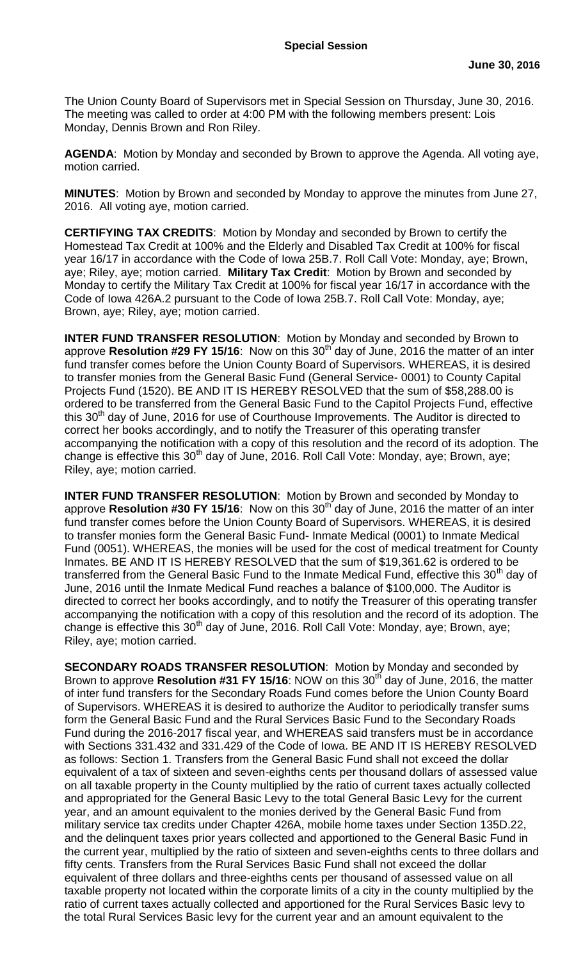The Union County Board of Supervisors met in Special Session on Thursday, June 30, 2016. The meeting was called to order at 4:00 PM with the following members present: Lois Monday, Dennis Brown and Ron Riley.

**AGENDA**: Motion by Monday and seconded by Brown to approve the Agenda. All voting aye, motion carried.

**MINUTES**: Motion by Brown and seconded by Monday to approve the minutes from June 27, 2016. All voting aye, motion carried.

**CERTIFYING TAX CREDITS**: Motion by Monday and seconded by Brown to certify the Homestead Tax Credit at 100% and the Elderly and Disabled Tax Credit at 100% for fiscal year 16/17 in accordance with the Code of Iowa 25B.7. Roll Call Vote: Monday, aye; Brown, aye; Riley, aye; motion carried. **Military Tax Credit**: Motion by Brown and seconded by Monday to certify the Military Tax Credit at 100% for fiscal year 16/17 in accordance with the Code of Iowa 426A.2 pursuant to the Code of Iowa 25B.7. Roll Call Vote: Monday, aye; Brown, aye; Riley, aye; motion carried.

**INTER FUND TRANSFER RESOLUTION:** Motion by Monday and seconded by Brown to approve **Resolution #29 FY 15/16**: Now on this 30<sup>th</sup> day of June, 2016 the matter of an inter fund transfer comes before the Union County Board of Supervisors. WHEREAS, it is desired to transfer monies from the General Basic Fund (General Service- 0001) to County Capital Projects Fund (1520). BE AND IT IS HEREBY RESOLVED that the sum of \$58,288.00 is ordered to be transferred from the General Basic Fund to the Capitol Projects Fund, effective this 30<sup>th</sup> day of June, 2016 for use of Courthouse Improvements. The Auditor is directed to correct her books accordingly, and to notify the Treasurer of this operating transfer accompanying the notification with a copy of this resolution and the record of its adoption. The change is effective this 30<sup>th</sup> day of June, 2016. Roll Call Vote: Monday, aye; Brown, aye; Riley, aye; motion carried.

**INTER FUND TRANSFER RESOLUTION**: Motion by Brown and seconded by Monday to approve **Resolution #30 FY 15/16**: Now on this 30<sup>th</sup> day of June, 2016 the matter of an inter fund transfer comes before the Union County Board of Supervisors. WHEREAS, it is desired to transfer monies form the General Basic Fund- Inmate Medical (0001) to Inmate Medical Fund (0051). WHEREAS, the monies will be used for the cost of medical treatment for County Inmates. BE AND IT IS HEREBY RESOLVED that the sum of \$19,361.62 is ordered to be transferred from the General Basic Fund to the Inmate Medical Fund, effective this 30<sup>th</sup> day of June, 2016 until the Inmate Medical Fund reaches a balance of \$100,000. The Auditor is directed to correct her books accordingly, and to notify the Treasurer of this operating transfer accompanying the notification with a copy of this resolution and the record of its adoption. The change is effective this 30<sup>th</sup> day of June, 2016. Roll Call Vote: Monday, aye; Brown, aye; Riley, aye; motion carried.

**SECONDARY ROADS TRANSFER RESOLUTION**: Motion by Monday and seconded by Brown to approve **Resolution #31 FY 15/16**: NOW on this 30<sup>th</sup> day of June, 2016, the matter of inter fund transfers for the Secondary Roads Fund comes before the Union County Board of Supervisors. WHEREAS it is desired to authorize the Auditor to periodically transfer sums form the General Basic Fund and the Rural Services Basic Fund to the Secondary Roads Fund during the 2016-2017 fiscal year, and WHEREAS said transfers must be in accordance with Sections 331.432 and 331.429 of the Code of Iowa. BE AND IT IS HEREBY RESOLVED as follows: Section 1. Transfers from the General Basic Fund shall not exceed the dollar equivalent of a tax of sixteen and seven-eighths cents per thousand dollars of assessed value on all taxable property in the County multiplied by the ratio of current taxes actually collected and appropriated for the General Basic Levy to the total General Basic Levy for the current year, and an amount equivalent to the monies derived by the General Basic Fund from military service tax credits under Chapter 426A, mobile home taxes under Section 135D.22, and the delinquent taxes prior years collected and apportioned to the General Basic Fund in the current year, multiplied by the ratio of sixteen and seven-eighths cents to three dollars and fifty cents. Transfers from the Rural Services Basic Fund shall not exceed the dollar equivalent of three dollars and three-eighths cents per thousand of assessed value on all taxable property not located within the corporate limits of a city in the county multiplied by the ratio of current taxes actually collected and apportioned for the Rural Services Basic levy to the total Rural Services Basic levy for the current year and an amount equivalent to the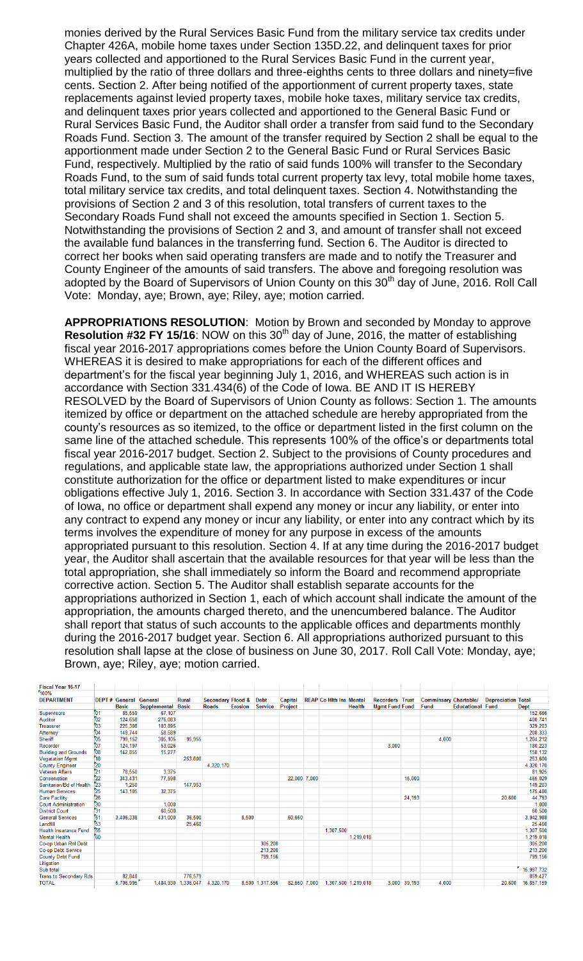monies derived by the Rural Services Basic Fund from the military service tax credits under Chapter 426A, mobile home taxes under Section 135D.22, and delinquent taxes for prior years collected and apportioned to the Rural Services Basic Fund in the current year, multiplied by the ratio of three dollars and three-eighths cents to three dollars and ninety=five cents. Section 2. After being notified of the apportionment of current property taxes, state replacements against levied property taxes, mobile hoke taxes, military service tax credits, and delinquent taxes prior years collected and apportioned to the General Basic Fund or Rural Services Basic Fund, the Auditor shall order a transfer from said fund to the Secondary Roads Fund. Section 3. The amount of the transfer required by Section 2 shall be equal to the apportionment made under Section 2 to the General Basic Fund or Rural Services Basic Fund, respectively. Multiplied by the ratio of said funds 100% will transfer to the Secondary Roads Fund, to the sum of said funds total current property tax levy, total mobile home taxes, total military service tax credits, and total delinquent taxes. Section 4. Notwithstanding the provisions of Section 2 and 3 of this resolution, total transfers of current taxes to the Secondary Roads Fund shall not exceed the amounts specified in Section 1. Section 5. Notwithstanding the provisions of Section 2 and 3, and amount of transfer shall not exceed the available fund balances in the transferring fund. Section 6. The Auditor is directed to correct her books when said operating transfers are made and to notify the Treasurer and County Engineer of the amounts of said transfers. The above and foregoing resolution was adopted by the Board of Supervisors of Union County on this  $30<sup>th</sup>$  day of June, 2016. Roll Call Vote: Monday, aye; Brown, aye; Riley, aye; motion carried.

**APPROPRIATIONS RESOLUTION**: Motion by Brown and seconded by Monday to approve **Resolution #32 FY 15/16**: NOW on this 30<sup>th</sup> day of June, 2016, the matter of establishing fiscal year 2016-2017 appropriations comes before the Union County Board of Supervisors. WHEREAS it is desired to make appropriations for each of the different offices and department's for the fiscal year beginning July 1, 2016, and WHEREAS such action is in accordance with Section 331.434(6) of the Code of Iowa. BE AND IT IS HEREBY RESOLVED by the Board of Supervisors of Union County as follows: Section 1. The amounts itemized by office or department on the attached schedule are hereby appropriated from the county's resources as so itemized, to the office or department listed in the first column on the same line of the attached schedule. This represents 100% of the office's or departments total fiscal year 2016-2017 budget. Section 2. Subject to the provisions of County procedures and regulations, and applicable state law, the appropriations authorized under Section 1 shall constitute authorization for the office or department listed to make expenditures or incur obligations effective July 1, 2016. Section 3. In accordance with Section 331.437 of the Code of Iowa, no office or department shall expend any money or incur any liability, or enter into any contract to expend any money or incur any liability, or enter into any contract which by its terms involves the expenditure of money for any purpose in excess of the amounts appropriated pursuant to this resolution. Section 4. If at any time during the 2016-2017 budget year, the Auditor shall ascertain that the available resources for that year will be less than the total appropriation, she shall immediately so inform the Board and recommend appropriate corrective action. Section 5. The Auditor shall establish separate accounts for the appropriations authorized in Section 1, each of which account shall indicate the amount of the appropriation, the amounts charged thereto, and the unencumbered balance. The Auditor shall report that status of such accounts to the applicable offices and departments monthly during the 2016-2017 budget year. Section 6. All appropriations authorized pursuant to this resolution shall lapse at the close of business on June 30, 2017. Roll Call Vote: Monday, aye; Brown, aye; Riley, aye; motion carried.

| <b>Fiscal Year 16-17</b>      |         |                       |                     |                     |                              |                |                 |                |              |                                |               |                        |              |                              |                         |                           |             |
|-------------------------------|---------|-----------------------|---------------------|---------------------|------------------------------|----------------|-----------------|----------------|--------------|--------------------------------|---------------|------------------------|--------------|------------------------------|-------------------------|---------------------------|-------------|
| 100%                          |         |                       |                     |                     |                              |                |                 |                |              |                                |               |                        |              |                              |                         |                           |             |
| <b>DEPARTMENT</b>             |         | <b>DEPT # General</b> | <b>General</b>      | Rural               | <b>Secondary Flood &amp;</b> |                | <b>Debt</b>     | <b>Capital</b> |              | <b>REAP Co Hith Ins Mental</b> |               | <b>Recorders Trust</b> |              | <b>Comminsary Chartable/</b> |                         | <b>Depreciation Total</b> |             |
|                               |         | <b>Basic</b>          | <b>Supplemental</b> | <b>Basic</b>        | <b>Roads</b>                 | <b>Erosion</b> | <b>Service</b>  | Project        |              |                                | <b>Health</b> | <b>Mgmt Fund Fund</b>  |              | Fund                         | <b>Educational Fund</b> |                           | <b>Dept</b> |
| Supervisors                   | $_{01}$ | 85.559                | 67,107              |                     |                              |                |                 |                |              |                                |               |                        |              |                              |                         |                           | 152,666     |
| Auditor                       | 02      | 124,658               | 276,083             |                     |                              |                |                 |                |              |                                |               |                        |              |                              |                         |                           | 400,741     |
| <b>Treasurer</b>              | 03      | 225,308               | 103,895             |                     |                              |                |                 |                |              |                                |               |                        |              |                              |                         |                           | 329,203     |
| Attorney                      | 04      | 149,744               | 58,589              |                     |                              |                |                 |                |              |                                |               |                        |              |                              |                         |                           | 208,333     |
| Sheriff                       | 05      | 799,152               | 305,105             | 95.955              |                              |                |                 |                |              |                                |               |                        |              | 4.000                        |                         |                           | 1,204,212   |
| Recorder                      | 07      | 124.197               | 53,026              |                     |                              |                |                 |                |              |                                |               | 3.000                  |              |                              |                         |                           | 180,223     |
| <b>Building and Grounds</b>   | 08      | 142,855               | 15,277              |                     |                              |                |                 |                |              |                                |               |                        |              |                              |                         |                           | 158,132     |
| <b>Vegatation Mgmt</b>        | 18      |                       |                     | 253,600             |                              |                |                 |                |              |                                |               |                        |              |                              |                         |                           | 253,600     |
| <b>County Engineer</b>        | 20      |                       |                     |                     | 4.320.170                    |                |                 |                |              |                                |               |                        |              |                              |                         |                           | 4,320,170   |
| <b>Veteran Affairs</b>        | 21      | 78,550                | 3,375               |                     |                              |                |                 |                |              |                                |               |                        |              |                              |                         |                           | 81,925      |
| Conservation                  | 22      | 343,431               | 77,598              |                     |                              |                |                 |                | 22,000 7,000 |                                |               |                        | 15,000       |                              |                         |                           | 465,029     |
| Sanitarian/Bd of Health       | 23      | 1.250                 |                     | 147,953             |                              |                |                 |                |              |                                |               |                        |              |                              |                         |                           | 149,203     |
| <b>Human Services</b>         | 25      | 143,105               | 32,375              |                     |                              |                |                 |                |              |                                |               |                        |              |                              |                         |                           | 175,480     |
| <b>Care Facility</b>          | 26      |                       |                     |                     |                              |                |                 |                |              |                                |               |                        | 24.193       |                              |                         | 20,600                    | 44,793      |
| <b>Court Administration</b>   | 30      |                       | 1,000               |                     |                              |                |                 |                |              |                                |               |                        |              |                              |                         |                           | 1,000       |
| <b>District Court</b>         | 31      |                       | 60,500              |                     |                              |                |                 |                |              |                                |               |                        |              |                              |                         |                           | 60,500      |
| <b>General Services</b>       | 51      | 3,406,338             | 431,000             | 36,500              |                              | 8,500          |                 | 60.650         |              |                                |               |                        |              |                              |                         |                           | 3,942,988   |
| Landfill                      | 53      |                       |                     | 25,460              |                              |                |                 |                |              |                                |               |                        |              |                              |                         |                           | 25,460      |
| <b>Health Insurance Fund</b>  | 55      |                       |                     |                     |                              |                |                 |                |              | 1,307,500                      |               |                        |              |                              |                         |                           | 1,307,500   |
| <b>Mental Health</b>          | 60      |                       |                     |                     |                              |                |                 |                |              |                                | 1,219,018     |                        |              |                              |                         |                           | 1,219,018   |
| Co-op Urban Rnl Debt          |         |                       |                     |                     |                              |                | 305.200         |                |              |                                |               |                        |              |                              |                         |                           | 305,200     |
| Co-op Debt Service            |         |                       |                     |                     |                              |                | 213.200         |                |              |                                |               |                        |              |                              |                         |                           | 213,200     |
| <b>County Debt Fund</b>       |         |                       |                     |                     |                              |                | 799,156         |                |              |                                |               |                        |              |                              |                         |                           | 799,156     |
| Litigation                    |         |                       |                     |                     |                              |                |                 |                |              |                                |               |                        |              |                              |                         |                           |             |
| Sub total                     |         |                       |                     |                     |                              |                |                 |                |              |                                |               |                        |              |                              |                         |                           | 15,997,732  |
| <b>Trans to Secondary Rds</b> |         | 82.848                |                     | 776,579             |                              |                |                 |                |              |                                |               |                        |              |                              |                         |                           | 859,427     |
| <b>TOTAL</b>                  |         | 5,706,995             |                     | 1,484,930 1,336,047 | 4,320,170                    |                | 8,500 1,317,556 |                | 82,650 7,000 | 1,307,500 1,219,018            |               |                        | 3,000 39,193 | 4.000                        |                         | 20,600                    | 16,857,159  |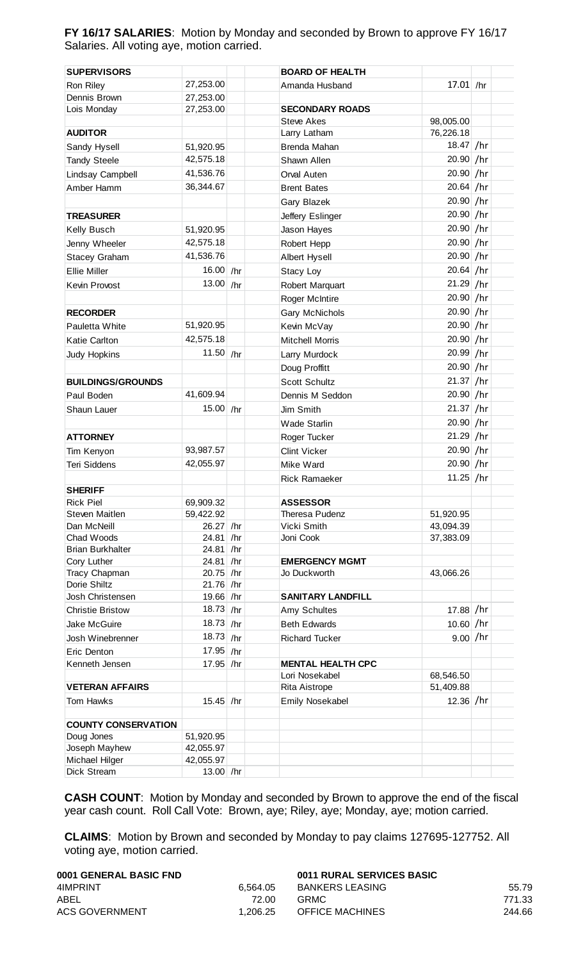**FY 16/17 SALARIES**: Motion by Monday and seconded by Brown to approve FY 16/17 Salaries. All voting aye, motion carried.

| <b>SUPERVISORS</b>         |             | <b>BOARD OF HEALTH</b>   |             |  |
|----------------------------|-------------|--------------------------|-------------|--|
| Ron Riley                  | 27,253.00   | Amanda Husband           | $17.01$ /hr |  |
| Dennis Brown               | 27,253.00   |                          |             |  |
| Lois Monday                | 27,253.00   | <b>SECONDARY ROADS</b>   |             |  |
|                            |             | <b>Steve Akes</b>        | 98,005.00   |  |
| <b>AUDITOR</b>             |             | Larry Latham             | 76,226.18   |  |
| Sandy Hysell               | 51,920.95   | Brenda Mahan             | 18.47 /hr   |  |
| <b>Tandy Steele</b>        | 42,575.18   | Shawn Allen              | 20.90 /hr   |  |
| Lindsay Campbell           | 41,536.76   | Orval Auten              | 20.90 /hr   |  |
| Amber Hamm                 | 36,344.67   | <b>Brent Bates</b>       | $20.64$ /hr |  |
|                            |             | Gary Blazek              | 20.90 /hr   |  |
| <b>TREASURER</b>           |             | Jeffery Eslinger         | 20.90 /hr   |  |
| Kelly Busch                | 51,920.95   | Jason Hayes              | 20.90 /hr   |  |
| Jenny Wheeler              | 42,575.18   | Robert Hepp              | 20.90 /hr   |  |
| <b>Stacey Graham</b>       | 41,536.76   | Albert Hysell            | 20.90 /hr   |  |
| <b>Ellie Miller</b>        | 16.00 /hr   |                          | $20.64$ /hr |  |
|                            |             | Stacy Loy                |             |  |
| Kevin Provost              | 13.00 /hr   | Robert Marquart          | $21.29$ /hr |  |
|                            |             | Roger McIntire           | 20.90 /hr   |  |
| <b>RECORDER</b>            |             | Gary McNichols           | 20.90 /hr   |  |
| Pauletta White             | 51,920.95   | Kevin McVay              | 20.90 /hr   |  |
| Katie Carlton              | 42,575.18   | <b>Mitchell Morris</b>   | 20.90 /hr   |  |
| Judy Hopkins               | 11.50 /hr   | Larry Murdock            | 20.99 /hr   |  |
|                            |             | Doug Proffitt            | $20.90$ /hr |  |
| <b>BUILDINGS/GROUNDS</b>   |             | <b>Scott Schultz</b>     | $21.37$ /hr |  |
| Paul Boden                 | 41,609.94   | Dennis M Seddon          | 20.90 /hr   |  |
| Shaun Lauer                | 15.00 /hr   | Jim Smith                | $21.37$ /hr |  |
|                            |             | <b>Wade Starlin</b>      | 20.90 /hr   |  |
| <b>ATTORNEY</b>            |             | Roger Tucker             | 21.29 /hr   |  |
| Tim Kenyon                 | 93,987.57   | <b>Clint Vicker</b>      | 20.90 /hr   |  |
| <b>Teri Siddens</b>        | 42,055.97   | Mike Ward                | 20.90 /hr   |  |
|                            |             | <b>Rick Ramaeker</b>     | 11.25 /hr   |  |
| <b>SHERIFF</b>             |             |                          |             |  |
| <b>Rick Piel</b>           | 69,909.32   | <b>ASSESSOR</b>          |             |  |
| <b>Steven Maitlen</b>      | 59,422.92   | <b>Theresa Pudenz</b>    | 51,920.95   |  |
| Dan McNeill                | 26.27 /hr   | Vicki Smith              | 43,094.39   |  |
| Chad Woods                 | 24.81 /hr   | Joni Cook                | 37,383.09   |  |
| <b>Brian Burkhalter</b>    | 24.81 /hr   |                          |             |  |
| Cory Luther                | 24.81 /hr   | <b>EMERGENCY MGMT</b>    |             |  |
| Tracy Chapman              | 20.75 /hr   | Jo Duckworth             | 43,066.26   |  |
| Dorie Shiltz               | 21.76 /hr   |                          |             |  |
| Josh Christensen           | 19.66 /hr   | <b>SANITARY LANDFILL</b> |             |  |
| <b>Christie Bristow</b>    | 18.73 /hr   | Amy Schultes             | $17.88$ /hr |  |
| Jake McGuire               | $18.73$ /hr | <b>Beth Edwards</b>      | $10.60$ /hr |  |
| Josh Winebrenner           | 18.73 /hr   | <b>Richard Tucker</b>    | 9.00 / hr   |  |
| Eric Denton                | 17.95 /hr   |                          |             |  |
| Kenneth Jensen             | 17.95 /hr   | <b>MENTAL HEALTH CPC</b> |             |  |
|                            |             | Lori Nosekabel           | 68,546.50   |  |
| <b>VETERAN AFFAIRS</b>     |             | Rita Aistrope            | 51,409.88   |  |
| <b>Tom Hawks</b>           | $15.45$ /hr | Emily Nosekabel          | $12.36$ /hr |  |
| <b>COUNTY CONSERVATION</b> |             |                          |             |  |
| Doug Jones                 | 51,920.95   |                          |             |  |
| Joseph Mayhew              | 42,055.97   |                          |             |  |
| Michael Hilger             | 42,055.97   |                          |             |  |
| Dick Stream                | 13.00 /hr   |                          |             |  |

**CASH COUNT**: Motion by Monday and seconded by Brown to approve the end of the fiscal year cash count. Roll Call Vote: Brown, aye; Riley, aye; Monday, aye; motion carried.

**CLAIMS**: Motion by Brown and seconded by Monday to pay claims 127695-127752. All voting aye, motion carried.

| 0001 GENERAL BASIC FND |          | 0011 RURAL SERVICES BASIC |        |
|------------------------|----------|---------------------------|--------|
| 4IMPRINT               | 6.564.05 | BANKERS LEASING           | 55.79  |
| ABEL                   | 72.00    | GRMC.                     | 771.33 |
| <b>ACS GOVERNMENT</b>  | 1.206.25 | <b>OFFICE MACHINES</b>    | 244.66 |